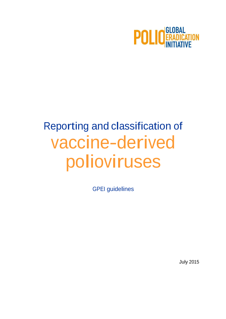

# Reporting and classification of vaccine-derived polioviruses

GPEI guidelines

July 2015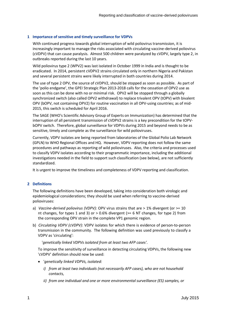#### **1 Importance of sensitive and timely surveillance for VDPVs**

With continued progress towards global interruption of wild poliovirus transmission, it is increasingly important to manage the risks associated with circulating vaccine-derived poliovirus (cVDPV) that can cause paralysis. Almost 500 children were paralyzed by cVDPV, largely type 2, in outbreaks reported during the last 10 years.

Wild poliovirus type 2 (WPV2) was last isolated in October 1999 in India and is thought to be eradicated. In 2014, persistent cVDPV2 strains circulated only in northern Nigeria and Pakistan and several persistent strains were likely interrupted in both countries during 2014.

The use of type 2 OPV, the source of cVDPV2, should be stopped as soon as possible. As part of the 'polio endgame', the GPEI Strategic Plan 2013-2018 calls for the cessation of OPV2 use as soon as this can be done with no or minimal risk. OPV2 will be stopped through a globally synchronized switch (also called OPV2 withdrawal) to replace trivalent OPV (tOPV) with bivalent OPV (bOPV, not containing OPV2) for routine vaccination in all OPV-using countries; as of mid-2015, this switch is scheduled for April 2016.

The SAGE (WHO's Scientific Advisory Group of Experts on Immunization) has determined that the interruption of all persistent transmission of cVDPV2 strains is a key precondition for the tOPVbOPV switch. Therefore, global surveillance for VDPVs during 2015 and beyond needs to be as sensitive, timely and complete as the surveillance for wild polioviruses.

Currently, VDPV isolates are being reported from laboratories of the Global Polio Lab Network (GPLN) to WHO Regional Offices and HQ. However, VDPV reporting does not follow the same procedures and pathways as reporting of wild polioviruses. Also, the criteria and processes used to classify VDPV isolates according to their programmatic importance, including the additional investigations needed in the field to support such classification (see below), are not sufficiently standardized.

It is urgent to improve the timeliness and completeness of VDPV reporting and classification.

#### **2 Definitions**

The following definitions have been developed, taking into consideration both virologic and epidemiological considerations; they should be used when referring to vaccine-derived polioviruses:

- a) *Vaccine-derived poliovirus (VDPV):* OPV virus strains that are > 1% divergent (or >= 10 nt changes, for types 1 and 3) or  $> 0.6\%$  divergent ( $>= 6$  NT changes, for type 2) from the corresponding OPV strain in the complete VP1 genomic region.
- b) *Circulating VDPV (cVDPV)*: VDPV isolates for which there is evidence of person-to-person transmission in the community. The following definition was used previously to classify a VDPV as 'circulating':

'*genetically linked VDPVs isolated from at least two AFP cases'*.

To improve the sensitivity of surveillance in detecting circulating VDPVs, the following new 'cVDPV' definition should now be used:

- '*genetically linked VDPVs, isolated:*
	- *i) from at least two individuals (not necessarily AFP cases), who are not household contacts,*
	- *ii) from one individual and one or more environmental surveillance (ES) samples, or*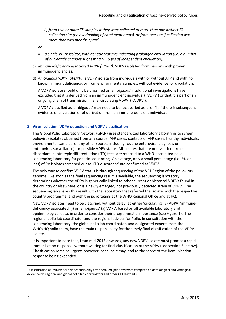- *iii) from two or more ES samples if they were collected at more than one distinct ES collection site (no overlapping of catchment areas), or from one site if collection was more than two months apart 1*
- *or*
- *a single VDPV isolate, with genetic features indicating prolonged circulation (i.e. a number of nucleotide changes suggesting > 1.5 yrs of independent circulation).*
- c) *Immune-deficiency associated VDPV (iVDPV)*: VDPVs isolated from persons with proven immunodeficiencies.
- d) *Ambiguous VDPV (aVDPV)*: a VDPV isolate from individuals with or without AFP and with no known immunodeficiency, or from environmental samples, without evidence for circulation.

A VDPV isolate should only be classified as 'ambiguous' if additional investigations have excluded that it is derived from an immunodeficient individual ('iVDPV') or that it is part of an ongoing chain of transmission, i.e. a 'circulating VDPV' ('cVDPV').

A VDPV classified as 'ambiguous' may need to be reclassified as 'c' or 'i', if there is subsequent evidence of circulation or of derivation from an immune-deficient individual.

#### **3 Virus isolation, VDPV detection and VDPV classification**

The Global Polio Laboratory Network (GPLN) uses standardized laboratory algorithms to screen poliovirus isolates obtained from any source (AFP cases, contacts of AFP cases, healthy individuals, environmental samples, or any other source, including routine enteroviral diagnosis or enterovirus surveillance) for possible VDPV status. All isolates that are non-vaccine-like or discordant in intratypic differentiation (ITD) tests are referred to a WHO-accredited polio sequencing laboratory for genetic sequencing. On average, only a small percentage (i.e. 5% or less) of PV isolates screened out as 'ITD-discordant' are confirmed as VDPV.

The only way to confirm VDPV status is through sequencing of the VP1 Region of the poliovirus genome. As soon as the final sequencing result is available, the sequencing laboratory determines whether the VDPV is genetically linked to other current or historical VDPVs found in the country or elsewhere, or is a newly emerged, not previously detected strain of VDPV. The sequencing lab shares this result with the laboratory that referred the isolate, with the respective country programme, and with the polio teams at the WHO Regional Office and at HQ.

New VDPV isolates need to be classified, without delay, as either 'circulating' (c) VDPV, 'immunedeficiency associated' (i) or 'ambiguous' (a) VDPV, based on all available laboratory and epidemiological data, in order to consider their programmatic importance (see Figure 1). The regional polio lab coordinator and the regional adviser for Polio, in consultation with the sequencing laboratory, the global polio lab coordinator, and designated experts from the WHO/HQ polio team, have the main responsibility for the timely final classification of the VDPV isolate.

It is important to note that, from mid-2015 onwards, any new VDPV isolate must prompt a rapid immunisation response, without waiting for final classification of the VDPV (see section 6, below). Classification remains urgent, however, because it may lead to the scope of the immunisation response being expanded.

 $^1$  Classification as 'cVDPV' for this scenario only after detailed joint review of complete epidemiological and virological evidence by regional and global polio lab coordinators and other GPLN experts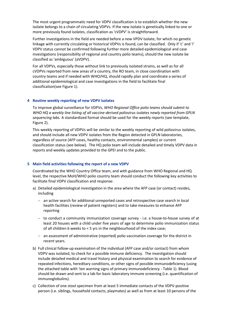The most urgent programmatic need for VDPV classification is to establish whether the new isolate belongs to a chain of circulating VDPVs. If the new isolate is genetically linked to one or more previously found isolates, classification as 'cVDPV' is straightforward.

Further investigations in the field are needed before a new VPDV isolate, for which no genetic linkage with currently circulating or historical VDPVs is found, can be classified. Only if 'c' and 'i' VDPV status cannot be confirmed following further more detailed epidemiological and case investigations (responsibility of regional and country polio teams), should the new isolate be classified as 'ambiguous' (aVDPV).

For all VDPVs, especially those without link to previously isolated strains, as well as for all cVDPVs reported from new areas of a country, the RO team, in close coordination with country teams and if needed with WHO/HQ, should rapidly plan and coordinate a series of additional epidemiological and case investigations in the field to facilitate final classification(see Figure 1).

#### **4 Routine weekly reporting of new VDPV isolates**

To improve global surveillance for VDPVs, *WHO Regional Office polio teams should submit to WHO HQ a weekly line listing of all vaccine-derived poliovirus isolates newly reported from GPLN sequencing labs.* A standardized format should be used for the weekly reports (see template, Figure 2).

This weekly reporting of VDPVs will be similar to the weekly reporting of wild poliovirus isolates, and should include all new VDPV isolates from the Region detected in GPLN laboratories, regardless of source (AFP cases, healthy contacts, environmental samples) or current classification status (see below). The HQ polio team will include detailed and timely VDPV data in reports and weekly updates provided to the GPEI and to the public.

#### **5 Main field activities following the report of a new VDPV**

Coordinated by the WHO Country Office team, and with guidance from WHO Regional and HQ level, the respective MoH/WHO polio country team should conduct the following key activities to facilitate final VDPV classification and response:

- a) Detailed epidemiological investigation in the area where the AFP case (or contact) resides, including
	- an active search for additional unreported cases and retrospective case search in local health facilities (review of patient registers) and to take measures to enhance AFP reporting
	- to conduct a community immunization coverage survey i.e. a house-to-house survey of at least 20 houses with a child under five years of age to determine polio immunization status of all children 6 weeks to < 5 yrs in the neighbourhood of the index case;
	- an assessment of administrative (reported) polio vaccination coverage for the district in recent years.
- b) Full clinical follow-up examination of the individual (AFP case and/or contact) from whom VDPV was isolated, to check for a possible immune deficiency. The investigation should include detailed medical and travel history and physical examination to search for evidence of repeated infections, hereditary conditions, or other signs of possible immunodeficiency (using the attached table with 'ten warning signs of primary immunodeficiency - Table 1). Blood should be drawn and sent to a lab for basic laboratory immune screening (i.e. quantification of immunoglobulins).
- c) Collection of one stool specimen from at least 5 immediate contacts of the VDPV-positive person (i.e. siblings, household contacts, playmates) as well as from at least 10 persons of the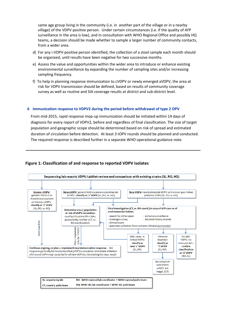same age group living in the community (i.e. in another part of the village or in a nearby village) of the VDPV-positive person. Under certain circumstances (i.e. if the quality of AFP surveillance in the area is low), and in consultation with WHO Regional Office and possibly HQ teams, a decision should be made whether to sample a larger number of community contacts, from a wider area.

- d) For any i-VDPV-positive person identified, the collection of a stool sample each month should be organized, until results have been negative for two successive months.
- e) Assess the value and opportunities within the wider area to introduce or enhance existing environmental surveillance by expanding the number of sampling sites and/or increasing sampling frequency.
- f) To help in planning response immunization to cVDPV or newly emerged aVDPV, the area at risk for VDPV transmission should be defined, based on results of community coverage survey as well as routine and SIA coverage results at district and sub-district level.

#### **6 Immunization response to VDPV2 during the period before withdrawal of type 2 OPV**

From mid-2015, rapid response mop-up immunization should be initiated within 14 days of diagnosis for every report of VDPV2, before and regardless of final classification. The size of target population and geographic scope should be determined based on risk of spread and estimated duration of circulation before detection. At least 3 tOPV rounds should be planned and conducted. The required response is described further in a separate WHO operational guidance note.

#### **Figure 1: Classification of and response to reported VDPV isolates**

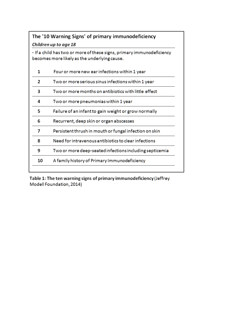## The '10 Warning Signs' of primary immunodeficiency

### Children up to age 18

- If a child has two or more of these signs, primary immunodeficiency becomes more likely as the underlying cause.

| 1  | Four or more new ear infections within 1 year           |
|----|---------------------------------------------------------|
| 2  | Two or more serious sinus infections within 1 year      |
| 3  | Two or more months on antibiotics with little effect    |
| 4  | Two or more pneumonias within 1 year                    |
| 5  | Failure of an infant to gain weight or grow normally    |
| 6  | Recurrent, deep skin or organ abscesses                 |
| 7  | Persistent thrush in mouth or fungal infection on skin  |
| 8  | Need for intravenous antibiotics to clear infections    |
| 9  | Two or more deep-seated infections including septicemia |
| 10 | A family history of Primary Immunodeficiency            |
|    |                                                         |

Table 1: The ten warning signs of primary immunodeficiency (Jeffrey Modell Foundation, 2014)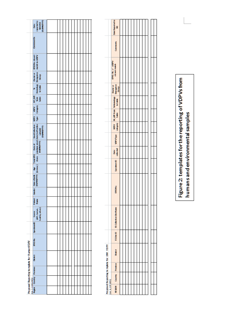|                                            | repared to<br>WHOTCO<br>DOMMANYCOO<br>š    |  |  |  |  |  |  |  |
|--------------------------------------------|--------------------------------------------|--|--|--|--|--|--|--|
|                                            | Comments                                   |  |  |  |  |  |  |  |
|                                            | <b>BYIDNo.</b> closed<br>match to children |  |  |  |  |  |  |  |
|                                            | Cluster or<br>Emergence<br>Group           |  |  |  |  |  |  |  |
|                                            | M<br>Homology<br>to Salah                  |  |  |  |  |  |  |  |
|                                            | ti<br>Vite<br>Sa                           |  |  |  |  |  |  |  |
|                                            | <b>See S</b>                               |  |  |  |  |  |  |  |
|                                            | j                                          |  |  |  |  |  |  |  |
|                                            |                                            |  |  |  |  |  |  |  |
|                                            |                                            |  |  |  |  |  |  |  |
|                                            |                                            |  |  |  |  |  |  |  |
|                                            |                                            |  |  |  |  |  |  |  |
|                                            |                                            |  |  |  |  |  |  |  |
|                                            | Patent Gander<br>Name                      |  |  |  |  |  |  |  |
|                                            |                                            |  |  |  |  |  |  |  |
|                                            | healthy, athen)<br>(AP, Central,<br>Source |  |  |  |  |  |  |  |
|                                            | SpedmanD                                   |  |  |  |  |  |  |  |
|                                            | <b>EPIDINA</b>                             |  |  |  |  |  |  |  |
| Proposed Reporting template for Human VDPV | Date of                                    |  |  |  |  |  |  |  |
|                                            | Ive 3.22062051<br>Region Country Province  |  |  |  |  |  |  |  |
|                                            |                                            |  |  |  |  |  |  |  |
|                                            |                                            |  |  |  |  |  |  |  |

|                                            |                    | Date Reported to<br>g                                                      |  |  |  |  |  |  |  |
|--------------------------------------------|--------------------|----------------------------------------------------------------------------|--|--|--|--|--|--|--|
|                                            |                    | Comments                                                                   |  |  |  |  |  |  |  |
|                                            |                    | ERD, No. of WEPY<br>closest match                                          |  |  |  |  |  |  |  |
|                                            |                    |                                                                            |  |  |  |  |  |  |  |
|                                            |                    | Schemalogy Guaterer<br>Salah Guatgaran<br>Guap<br>VDV Mudit tem Schemelogy |  |  |  |  |  |  |  |
|                                            |                    |                                                                            |  |  |  |  |  |  |  |
|                                            |                    |                                                                            |  |  |  |  |  |  |  |
|                                            |                    | Date vor type<br>othersal                                                  |  |  |  |  |  |  |  |
|                                            |                    |                                                                            |  |  |  |  |  |  |  |
|                                            |                    | Spectrum ID                                                                |  |  |  |  |  |  |  |
|                                            |                    | ERONG                                                                      |  |  |  |  |  |  |  |
|                                            |                    | ESSNe ID BS Collection Sherifarme                                          |  |  |  |  |  |  |  |
|                                            |                    |                                                                            |  |  |  |  |  |  |  |
| Progresed Regarding to mighte for ENV VDPV |                    | District                                                                   |  |  |  |  |  |  |  |
|                                            |                    |                                                                            |  |  |  |  |  |  |  |
|                                            |                    | Country Province                                                           |  |  |  |  |  |  |  |
|                                            | [we. 4, 2.07.2015] | <b>MEGROW</b>                                                              |  |  |  |  |  |  |  |

Figure 2: templates for the reporting of VDPVs from<br>humans and environmental samples